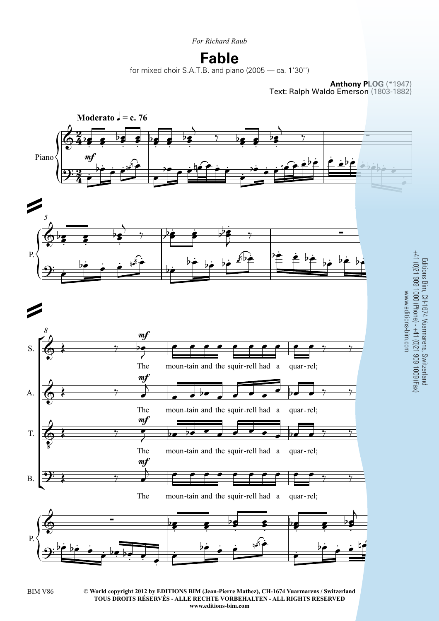*For Richard Raub*

## **Fable**

for mixed choir S.A.T.B. and piano (2005 — ca. 1'30'')

**Anthony PLOG** (\*1947) Text: Ralph Waldo Emerson (1803-1882)

Editions Bim, CH-1674 Vuarmarens, Switzerland



**© World copyright 2012 by EDITIONS BIM (Jean-Pierre Mathez), CH-1674 Vuarmarens / Switzerland** BIM V86 3 **TOUS DROITS RÉSERVÉS - ALLE RECHTE VORBEHALTEN - ALL RIGHTS RESERVED www.editions-bim.com**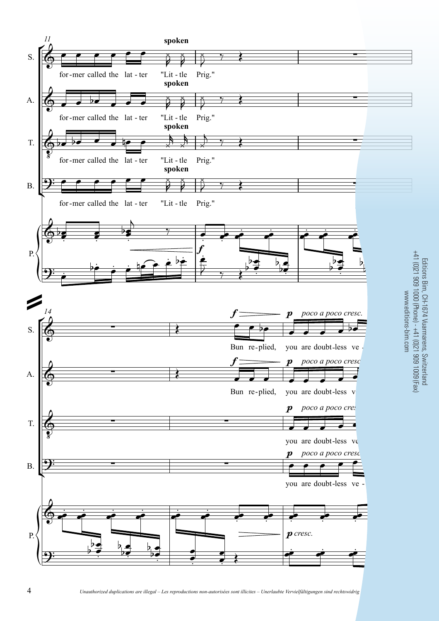

 $\overline{4}$